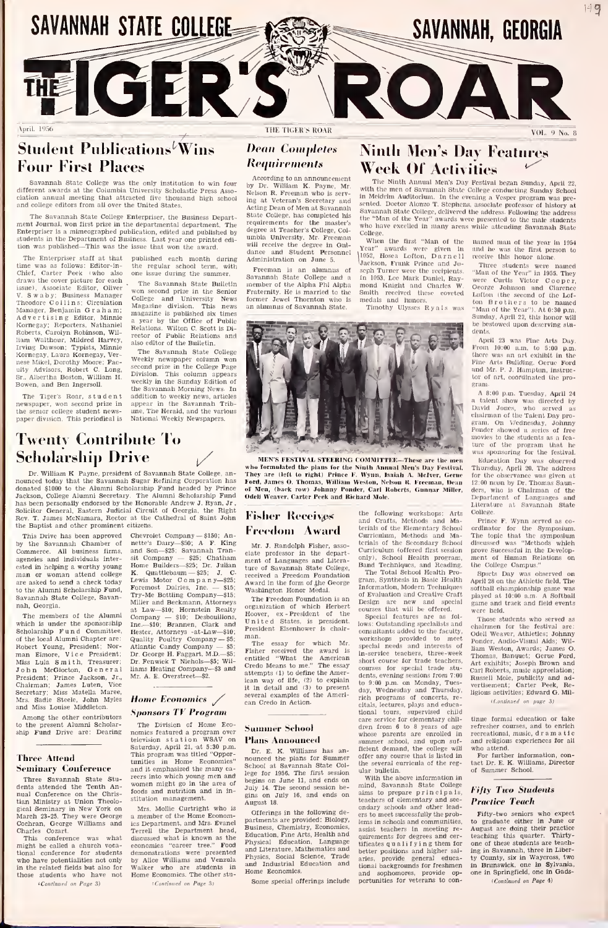

## Student Publications<sup>*Wins*</sup> Four First Places

Savannah State College was the only institution to win four<br>different awards at the Columbia University Scholastic Press Asso-<br>elation annual meeting that attracted five thousand high school in<br>and college editors from all

The Savannah State College Enterpriser, the Business Depart ment Journal, won fill over the United States.<br>The Bavannah State College Enterpriser, the Business Department<br>Jenerpriser is a mimeographed publication, edited and published by<br>ferenceis in the Department of Business. Las tion was published—This was the issue that won the award.<br>The Enterpriser staff at that published each month during

The Enterpriser staff at that published was as follows: Editor-in-<br>
Chief, Carter Peek iwho also one<br>
draws the cover picture for each<br>
issue). Associate Editor, Oliver  $\frac{1}{\sqrt{2}}$ issue), Associate Editor, Oliver w<sub>on</sub><br>V. Swaby; Business Manager <sub>Colle</sub> Theodore Collins; Circulation Magaz<br>Manager, Benjamin Graham; <sub>Magaz</sub> Advertising Editor, Minnie Kornegay; Reporters, Nathaniel Roberts, Carolyn Robinson, Wil-Advertising Editor, Minnie <sup>maa</sup><br>Kornegay; Reporters, Nathaniel Reberts, Carolyn Robinson, Wil-<br>Harvey, Tarvey, Harvey, The Harvey, The Harvey, The Harvey, The Harvey, The Harvey, The Harvey, The Davison; Typists, Minnie Iram Walthour, Mildred Harvey,<br>Irving Dawson: Typists. Minnie Kornegay. Laura Kornegay, Ver-nese Mikel, Dorothy Moore; Faculty Advisors, Robert C. Long,<br>Sr., Albertha Boston, William H. Biv<br>Bowen, and Ben Ingersoll. We

The Tiger's Roar, student newspaper, won second prize in ap<br>the senior college student news- un<br>paper division. This periodical is - Na

Twenty Contribute To Scholarship Drive ^/

issue that won the award.<br>
bublished each month during add<br>
the regular school term, with p<br>
one issue during the summer.

The Savannah State Bulletin won second prize in the Senior College and University News Magazine division. This news magazine is published six times<br>a year by the Office of Public<br>Relations. Wilton C. Scott is Di-<br>rector of Public Relations and<br>also editor of the Builetin.

The Savannah State College<br>Weekly newspaper column won Weekly newspaper column won<br>second prize in the College Page<br>Division. This column appears<br>weekly in the Sunday Edition of the Savannah Morning News. In addition to weekly news, articles appear in the Savannah Trib-<br>une, The Herald, and the various II<br>National Weekly Newspapers. III

### rHE TIGER'S ROAR VOL. <) No. <sup>8</sup>

# Dean Completes

According to an announcement **Requirements**<br>According to an announcement<br>by Dr. William K. Payne, Mr. William K. Payne, Mr. William R. Freeman who is serving at Veteran's Secretary and <sub>sent</sub><br>Acting Dean of Men at Savannah – Sava State College, has completed his<br>requirements for the master's <sub>wh</sub><br>degree at Teacher's College, Col- <sub>Col</sub> umbia University. Mr. Freeman<br>will receive the degree in Gui-<br>dance and Student Personnel Freeman<br>Administration of June 5.<br>Freeman is an alumnus of soph<br>Savannah State College and a fin I<br>nember of the Alpha Phi Alpha mon

Administration on June 5.<br>Freeman is an alumnus of<br>Savannah State College and a Fraternity. He is married to the former Jewel Thornton who is an alumnus of Savannah State.

### Requirements Week Of Activities Ninth Men's Day Features<br>Week Of Activities

The Windi Annual Meta Sing Festival became Sampley, April 22, 1987<br>1887 - Hill Hammel Meta College conducting Samday School<br>1881 - Hill Hammel of Savannah School College conducting Samday School<br>1887 - Hill Hammel College College.<br>When the first "Man of the

ll952, Hose<sup>a</sup> Lofton, Darnell \Iackson, Frank Prince and Jo seph Turner were the recipients, limital In 1053. Lee Mark Daniel, Ray- were<br>mond Knight and Charles W. Oeorg Smith received these coveted medals and honors. Timothy Ulysses Ryals was

gram, Synthesis in Basic Health

citals, lectures, plays and educa-

the several curricula of the reg-ular bulletin. With the above information in

teachers of elementary and sec-



Dr. William K. Payne, president of Savannah State College, an-<br>nounced today that the Savannah Sugar Refining Corporation has donated \$1000 to the Alumni Scholarship Fund headed by Prince of MacAscon, College Alumni Secretary. The Alumni Scholarship Fund Odel<br>Jackson, College Alumni Secretary. The Alumni Scholarship Fund Odel<br>has been personally MEN'S FENTIVAL STEERING COMMITTEE—These are the men-<br>Exhibit born formulated the plans for the Ninth Annual Men's Day Festival.<br>They are theit to right) Prince F. Wyan, Isaiah A. McPert, Gerne for Fore<br>Ford, James O, Thoma

### Fisher Receives Freedom Award

Mr. J. Randolph Fisher, associate professor in the depart- ment of Languages and Litera ture of Savannah State College, received a Freedom Foundation Award in the form of the form of the George Band<br>received a Freedom Foundation The form of the George Washington Honor Medal. The The Freedom Foundation is an<br>The Freedom Foundation is an The

organization of which Herbert<br>Hoover, ex - President of the United States, is president.<br>The United States, is president.<br>President Elsenhower is chair-

man.<br>The essay for which Mr. Work<br>Fisher received the award is entitled "What the American<br>Credo Means to me." The essay shour attempts (1) to define the Amer-<br>ican way of life, (2) to explain<br>it in detail and (3) to present<br>several examples of the Amerian Credo in Action

### Summer School Plans Announced

### Dr. E. K. Williams has an- nounced the plans for Summer School at Savannah State College for 1956. The first session unit<br>begins on June 11, and ends on W July 14. The second session be-gins on July 16, and ends on August 18,

Offerings in the following de-<br>partments are provided; Biology, Business, Chemistry, Economics, assis<br>Education, Fine Arts, Health and quin<br>Physical Education, Language aiffici<br>and Literature, Mathematics and hetti Physics, Social Science, Trade artes<br>and Industrial Education and tion: Home Economics.

Some special offerings include

named man of the year in 1954 and he was the first person to receive this honor alone,

Three students were named "Man of the Year" In 1955. They were Curtis Victor Cooper, George Johnson and Clarence Lofton (the second of the Lofton B rothers to be named<br>"Man of the Year"). At 0:30 p.m. Sunday, April 22, this honor will be bestowed upon deserving stu-

April 23 was Fine Arts Duy. April 23 was Fine Arts Day. From 10:00 a.m. to 5:00 p.m. there was an art exhibit in the Fine Arts Building. Gerue Ford and Mr, p. j. Hampton, Instruc-tor of art, coordinated the pro- gram.

A 8:00 p.m. Tuesday, April 24 n talent show was directed by<br>David Jones, who served as<br>chairman of the Talent Day procram, on Wednesday, Johnny Ponder showed a series of free movies to the students as a feature of the program that he<br>was sponsoring for the festival.

Education Day was observed Thursday, April 20. The address for the observance was given at 12:00 noon by Dr. Thomas Saun-ders, who Is Chairman of the Department of Languages and Leparthiens of Languages and<br>Literature at Savannah State<br>College

the following workshops: Arts Colla<br>and Crafts, Methods and Ma-<br>terials of the Elementary School ord<br>Curriculum, Methods and Ma- The<br>terials of the Secondary School dist Curriculum (offered first session proorly), School Health program, men<br>Band Techniques, and Reading, the<br>The Total School Health Pro-5 Prince F. Wynn served as co ordinator for the Symposium, The topic that the symposium discussed was "Methods which prove Successful in the Develop- ment of Human Relations on the College Campus."

Information, Modern Techniques soft<br>of Evaluation and Creative Craft play Design are new and special gam<br>courses that will be offered. Special features are as fol-<br>lows: Outstanding specialists and had ment of fullman relations on<br>Sports Day was observed on<br>Sports Day was observed on<br>April 28 on the Athletic field. The<br>softball championship game was softball championship game was played at 10:00 a.m <sup>A</sup> Softball game and track and field events were held.

consultants added to the faculty, Odel<br>workshops provided to meet<br>special needs and interests of Ilam<br>in-service teachers, three-week Tho short course for trade teachers, courses for special trade stu-dents, evening sessions from 7:00 to 9:00 p.m. on Monday, Tues-day, Wednesday and Thursday, rich programs of concerts, re-Those students who served as chairmen for the festival are:<br>Odell Weaver, Athletics; Johnny<br>Ponder, Audio-Visual Aids; William Weston, Awards; James O. Thomas, Banquet; Gerue Ford, Art exhibits; Joseph Brown and Carl Roberts, music appreciation; Russell Mole, publicity and ad-vertisement; Carter Peek, Religious activities; Edward G. Mll<sup>i</sup> Continued on page 3)

tional tours, supervised child<br>care-service-for-elementary-chil- th dren from 6 to 8 years of age veft<br>summer school, and upon summer school, and upon suf-<br>ficient demand, the college will other any course that is listed in F tlnue formal education or take refresher courses, and to enrich recreational, music, dramatic and religious experiences for all<br>who attend.

who attend. For further information, con-tact Dr. E. K. Williams, Director of Summer School.

#### mind, Savannah State College<br>aims to prepare principals, Fift Fifty Two Students Practice Teach

ondary schools and other lead-ers to meet successfully the prob lems in schools and communities, assist teachers in meeting re- quirements for degrees and certificates qualifying them for better positions and higher sal-aries, provide general educational backgrounds for freshmen – in 1<br>and – sophomores, – provide – op- – one<br>portunities for veterans to con-**Practice Teach**<br>Fifty-two seniors who expect<br>to graduate either in June or<br>August are doing their practice<br>teaching this quarter. Thirtyone of these students are teach-ing in Savannah, three in Liber-ty County, six in Waycross, two in Brunswick, one in Sylvania. one in Springfield, one in Gads-<sup>I</sup> Continued on Page 4)

Savannah State College, Savannah. Georgia. The members of the Alumni which is under the sponsorship <sub>Inc.</sub><br>Scholarship Fund Committee, <sub>Hes</sub><br>of the local Alumni Chapter are: Qua Robert Young, President; Nor- Atlant<br>man Elmore, Vice President; Dr.Ge<br>Miss Lula Smith, Treasurer; Dr.Fe<br>John McGlocton, General llams President; Prince Jackson, Jr., <sup>Mr.</sup><br>Chairman; James Luten, Vice<br>Secretary; Miss Matella Maree,<br>Mrs. Sadie Steele, John Myles<br>and Miss Louise Middleton.

to the Alumni Scholarship Fund,

Among the other contributors Among the other contributor ship Fund Drive are: Dearing

## Three Attend

Three Savannah State Stu-<br>
dents attended the Tenth An-<br>
nual Conference on the Chris-<br>
tian Ministry at Union Theolo-<br>
gical Seminary in New York on<br>
Minich 23-25. They were George a me<br>
Cochran, George Williams and iss I

Cochran, George Williams and iest<br>Charles Cozart.<br>This conference was what discussion<br>might be called a church voca-<br>technal conference for students demon<br>who have potentialities not only by  $y$ <br>in the related fields but a those students who have not Hor<br>(Continued on Page 3)

the Baptist and other prominent citizens. This Drive has been approved Chevrolet Company — \$150; Anby the Savannah Chamber of ne<br>Commerce. All business firms, an agencies and individuals inter- sit<br>ested in helping a worthy young Hon man or woman attend college K.<br>are asked to send a check today nette's Dairy—\$50; A F. King<br>and Son—\$25; Savannah Tran-<br>clat sit Company — \$25; Chatham Home<br>
Home Builders—\$25; Dr. Julian Internet<br>
K. Quattlebaum — \$25; J.C.<br>
Lewis Motor C om p a n y—\$25; Tres.<br>
Poremost Dairies, Jnc. — \$15; West<br>
Pry-Me Bottling Company—\$15;<br>
Try-Me Bottling Co Miller and Beckmann, Attorneys<br>
at Law-Si0; Hernstein Realty<br>
Company -- 3i0; Desboullons, Howev<br>
Inc.--Si0; Brannen, Clark and Unit<br>
Inc.--Si0; Brannen, Clark and Unit<br>
Quality Poultry Company -- S5;<br>
Atlantic Candy Compa Dr. Fenwick <sup>T</sup> Nichols—\$5; Wil-liams Heating Company—\$3 and Mr. A. E. Overstreet. \$2.

### Home Economics Sponsors TV Program

Seminary Conference<br>Three Savannah State Stn-<br>neers into which young men and<br>dents attended the Tenth An-<br>women might go in the area of The Division of Home Eco mics featured a program over television station WSAV on Saturday. April 21, at 5:30 p.m. The Division of Home Eco-<br>momics featured a program over<br>television station WSAV on<br>Saturday, April 21, at 5:30 p.m.<br>This program was titled "Oppor-<br>noutinuities in Home Economics"<br>and it emphasized the many ca-<br>schnittes Saturany, April 24, at 5.30 p.m.<br>This program was titled "Oppor-<br>tunities in Home Economics" Schward it emphasized the many ca.<br>reers into which young men and legge<br>women might go in the area of begin foods and nutrition and in in stitution management.

Mrs. Mollie Curtright who is all offerings in the following dea member of the Home Economics Department, and Mrs. Evanel Terrell the Department head,<br>discussed what is known as the Edu<br>economics "career tree." Food and<br>demonstrations were presented and by Alice Williams and Venzula Fire<br>Walker who are students in and<br>Home Economics. The other stu-[Continued on Page 3)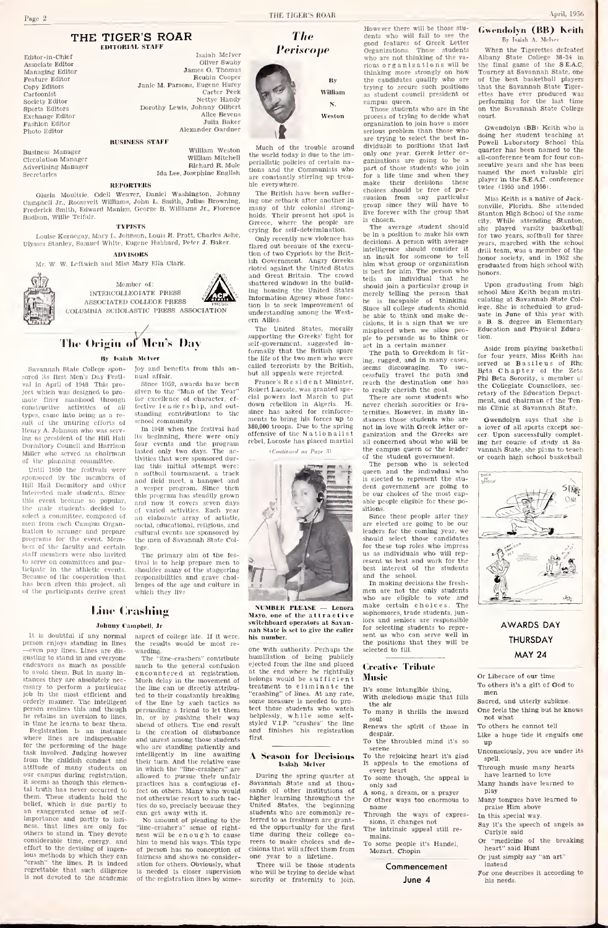### THE TIGER'S ROAR

|                                                                                                                                                                                                 | <b>EDITORIAL STAFF</b>                                                                                                                                                                                                  | Periscope                                                                                                                                                                  |
|-------------------------------------------------------------------------------------------------------------------------------------------------------------------------------------------------|-------------------------------------------------------------------------------------------------------------------------------------------------------------------------------------------------------------------------|----------------------------------------------------------------------------------------------------------------------------------------------------------------------------|
| Editor-in-Chlef<br>Associate Editor<br>Managing Editor<br>Feature Editor<br>Copy Editors<br>Cartoonist<br>Society Editor<br>Sports Editors<br>Exchange Editor<br>Fashlon Editor<br>Photo Editor | Isaiah McIver<br>Oliver Swaby<br>James O. Thomas<br>Reubin Cooper<br>Janie M. Parsons, Eugene Hurey<br>Carter Peek<br>Nettye Handy<br>Dorothy Lewis, Johnny Olibert<br>Alice Beyens<br>Julia Baker<br>Alexander Gardner | By<br>William<br>N.<br>Weston                                                                                                                                              |
| Business Manager<br>Circulation Manager<br>Advertising Manager<br>Secretaries                                                                                                                   | <b>BUSINESS STAFF</b><br>William Weston<br>William Mitchell<br>Richard R. Mole<br>Ida Lee, Josephine English                                                                                                            | Much of the trouble around<br>the world today is due to the im-<br>perialistic policies of certain na-<br>tions and the Communists who<br>are constantly stirring up trou- |

REPORTERS Gloria Moultrie, Odell Weaver, Daniel Washington, Johnny Campbell Jr., Roosevelt Williams, John L. Smith, Julius Browning, Frederick Smith, Edward Manlgo. George B. Williams Jr., Florence Bodlson. Willie Telfair.

TYPISTS<br>Louise Kurnegay, Mary L. Johnson, Louis H. Pratt, Charles Ashe, Ulysses Stanley, Samuel White, Eugene Hubbard, Peter J. Baker. Only recently new violence has

#### ADVISORS Mr. W. W. Lcrtwlch and Miss Mary Ella Clark.



The Origin of Men's Day

#### Ity Isaiah Mclver

sored its Ilrst Men's Day Festi-val in April of 1948. This project which was designed to pro-<br>mate finer manhood through mote finer manhood through constructive activities of all the types, came into being as a re-  $\,$  s types, came into peing as a re- commonly contracted such as a re-Henry A, Johnson who was ing as president of the Hill Hall endtory Council and Harrison Miller who served as chairman

Until 1950 the festivals were ponsored by the members Hill Hall Dormitory and other Interested male students. Since this event became so popular male students decided select a committee, composed of men from each Campus Organ-  $_{\rm 506}$ inen from each Campus Organ-<br>ization to arrange and prepare euly<br>programs for the event. Mem-- the<br>bers of the faculty and certain leg<br>staff members were also luvited staff members were also invited to serve on committees and participate in the athletic events, Because of the cooperation that has been given this project, all – len<br>of the participants derive great – wh

gusting to stand In and everyone

he retains an aversion to lines,

for the performing of the huge task involved. Judging however from the childish conduct and

it seems as though this elemen tal truth has never occurred to<br>them. These students hold the

ious methods by which they can

Savannah State College spon-Joy and benefits from this an-

nual affair. Since 1952. awards have been given to the "Man of the Year" for excellence of character, ef- the<br>fective leadership, and out- do

of the planning committee. It wittes that were sponsored durschool community.<br>In 1948 when the festival had 380,<br>Its beginning, there were only offer<br>four events and the program<br>lasted only two days. The ac-<br>tivities that were sponsored during this initial attempt were: a softball tournament, a track and field meet, a banquet and a vesper program. Since then this program has steadily grown and now It covers seven days<br>of varied activities. Each year an elaborate array of artistic,<br>social, educational, religious, and<br>cultural events are sponsored by the men of Savannah State Col-<br>lege.

The primary aim of the fes-The primary aim of the fes-<br>itval is to help prepare men to<br>shoulder many of the staggering<br>responsibilities and grave chal-<br>lenges of the age and culture in<br>which they live

# Line Crashing Line Crasl<br>
Johnny Campbe<br>
1t is doubtful if any normal asp<br>
person enjoys standing in lines<br>
—even pay lines. Lines are dis-

### Johnny Campbell, Jr.<br>It is doubtful if any normal aspect of

aspect of college life. If it were, esults would be most rewarding.

endeavors as much as possible to avoid them. But In many in stances they are absolutely nec-essary to perform a particular job in the most efficient and orderly manner. The intelligent of t<br>person realizes this and though pers in time he learns to bear them. Registration is an instance where lines are indispensable attitude of many students on in v<br>our campus during registration, allo The "line-crashers" contribute much to the general confusion<br>encountered at registration. at registration. Much delay in the movem the line can be directly attributed to their constantly breaking of the line by such tactics as persuading a friend to let them tect<br>in, or by pushing their way help<br>ahead of others. The end result style Is the creation of disturbance and unrest among those student is the creation of disturbance<br>and unrest among those students<br>who are standing patiently and<br>intelligently in line awaiting<br>their turn. And the relative ease In which the "line-crashers" are allowed to pursue their unfair practices has a contagious ef-fect on others. Many who would not otherwise resort to such tac-tics do so, precisely because they

them. These students hold the hold<br>hellef, which is due partly to these<br>an exaggerated sense of self- importance and partly to lazi-<br>ness, that lines are only for "line<br>others to stand in. They devote nes considerable time, energy, and effort to the devising of ingen-"crash" the lines. It is indeed regrettable that such diligence is not devoted to the academic can get away with it.No amount of pleading to the "line-crasher's" sense of Tight ness will be enough to c him to mend his ways. This type of person has no conception of fairness and shows no consider-ation for others. Obviously, what is needed is closer supervision of the registration lines by someThe

perialistic policies of certain nations who<br>un trouare constantly stirring up trou-ble everywhere.

tions and the Communists who pas<br>are constantly stirring up trouble everywhere. The British have been suffer-<br>ing one setback after another in sum of thir colonial strong-<br>gram por strong-<br>thir colonial strong-<br>resent hot Greece, where the people are crying for self-determination.

Only recently new violence has flared out because of the execu-<br>tion of two Cypriots by the Brit-<br>sh Government. Angry Greeks<br>rioted against the United States<br>and Great Britain. The crowd<br> $\frac{18}{\text{bol}^2}$ noted against the onited states<br>and Great Britain. The crowd<br>shattered windows in the building housing the United States<br>Information Agency whose func- he tion is to seek improvement of understanding among the Western Allies.<br>The United States,

The United States, morally missupporting the Greeks' fight for self-government, suggested in-<br>solf-government, suggested in-<br>formally that the British spare<br>the life of the two men who were the life of the two men who were<br>called terrorists by the British called two ment who were but all appeals were rejected.

standing contributions to the since has asked for reinforce-<br>ments to bring bis forces up to France's Resident Minister, re<br>obert Lacoste, was granted spe-Robert Lacoste, was granted speconcert Lacoste, was granted spe-<br>clal powers lost March to put - There are some students who<br>down rebellion in Algeria. He never cherish serorities or fraclal powers last March to put<br>down rebellion in Algeria. He neve<br>since has asked for reinforce- term<br>ments to bring his forces up to stan<br>380,000 troops. Due to the spring not of the Nationalistic spice ments to bring his forces up to stances those students who are  $380,000$  troops. Due to the spring and the not in love with Greek letter or-<br>offensive of the Nationalist ganization and the Greeks are<br>rebel. Lacoste has pl

(Continued as Done 2)



NUMBER PLEASE — Lenora<br>Mavo, one of the attractive one of the attractive switchboard operators at Savan nah State is set to give the caller his nun

one with authority. Perhaps the humillation of being publicly<br>ejected from the line and placed <sub>f</sub> at the end where he rightfully<br>belongs would be sufficient **Mus** treatment to eliminate the It's<br>"crashing" of lines. At any rate, was some measure is needed to pro-<br>tect those students who watch<br>helplessly, while some self-<br>styled V.I.P. "crashes" the line<br>and finishes his registration first.

#### A Season for Decisions Isaiah Mclver

During the spring quarter at  $T_0$  some the spring space and at thou-Savannah State and at thou-<br>sands of other institutions of  $A_{\mathcal{R}}$ higher learning throughout the <sub>Or</sub><br>United States, the beginning <sub>na</sub> students who are commonly re students who are commonly re-<br>ferred to as freshmen are grant- $\frac{1}{2}$ <br>ed the opportunity for the first  $\frac{1}{2}$ <br>time during their college ca- $\frac{1}{2}$ <br>reers to make cholces and dereers to make choices and de-cisions that will affect them from one year to a lifetime. There will after the choices and de-<br>There will after them from  $M_{\rm D}$ <br>one year to a lifetime.<br>There will be those students<br>who will be trying to decide what

who will be trying to decide what<br>sorority or fraternity to join.

However there will be those stu-<br>donts who will fall to see the dents who will fail to see the good features of Greek Letter Organizations. Those students who are not thinking of the vaorganizations will be thinking more strongly on how the candidates qualify who are<br>trying to secure such positions trying to secure such positions as student council president or

**Much of** the trouble around dividuals to positions that last  $P$ one world today is due to the im- only one year. Greek letter or- quindistle policies of certain ran- ganizations are going to be a all-<br>striallatte policies campus queen. Those students who are in the process of trying to decide what<br>organization to join have a more<br>serious problem than those who<br>are trying to select the best in-<br>dividuals to positions that last<br>measure panizations are going to be a<br>part of those students who join for a life time and when they make their decisions these choices should be free of per suasion from any particular  $_{\rm 30m}$ <br>group since they will have to  $_{\rm 50m}$ <br>live forever with the group that  $_{\rm 5ta}$ 

is chosen.<br>The average student should she be in a position to make his own for for the decisions. A person with average  $\frac{1}{\sqrt{2}}$ intelligence should consider it <sub>di</sub><br>an insult for someone to tell <sub>h</sub> him what group or organization Is best for him. The person who tells an individual that he should join a particular group ismerely telling the person that sch<br>he is incapable of thinking. cul<br>Since all college students should leg be able to think and make de-<br>cisions it is a sign that we are cisions, it is a sign that we are misplaced when we allow peo-ple to persuade us to think or

act in a certain manner.<br>The path to Greekdom is tir-<br>ing, rugged, and in many cases, seems discouraging. To suc-<br>cessfully travel the path and Bri reach the destination one has ally cherish the goal.

There are some students who never cherish sororities or Ira-<br>ternities. However, in many instances those students who are contribution in love with Greek letter or- ganization and the Greeks are cerall concerned about who will be the campus queen or the leader of the student government.

The person who isselected queen and the individual who is elected to represent the stu-<br>dent government are going to be our choices of the most capable people eligible for these po-

sitions.  $\begin{array}{|l|} \hline \text{Since these people after they }\end{array} \begin{array}{|l|} \hline \end{array}$ are elected are going to be our<br>leaders for the coming year, we<br>should select those candidates<br>for these top roles who impress<br>us as individuals who will rep-<br>resent us best and work for the best interest of the students on these soprotos who may<br>resent us best students who will represent us best students and work for the<br>best interest of the students<br>and the school.<br>In making decisions the fresh-men are not the only students<br>who are eligi

and the school. In making decisions the fresh make certain choices. sophomores, trade students, j iors and seniors are responsible for selecting students to repre-<br>sent us who can serve well in<br>the positions that they will be selected to fill.

### Creative Tribute Music

- It's some intangible thing, With melodious magic that fills
- the air<br>To many  $\frac{1}{10}$  many it thrills the inward
- soul Renews the spirit of those in despair. Lil<br>To the throubled mind it's so
- serene<br>To the rejoicing heart it's glad  $\begin{array}{c} \n\text{Un} \\ \n\end{array}$
- It appeals to the emotions of every heart To some though, the appeal is
- only sad A song, a dream, or a prayer
- Or other ways too enormous to name Through the ways of expres-
- sions, it changes not The intrinsic appeal still re-
- mains.<br>To some some people it's Handel. Mozart, Chopin
	-

### Commencement June 4

### Gwendolyn (BB) Keith By Isaiah A. Mclver

When the Tigerettes defeated<br>Albany State College 38-34 in Albany State College 38-34 in<br>the final game of the S.E.A.C. Tourney at Savannah State, one the best basketball players<br>at the Savannah State Tigerthat the Savannah State ettes have ever produced was<br>performing for the last time<br>on the Savannah State College court.

Gwendolyn 'BBj Keith who is doing her student teaching at Powell Laboratory School this quarter has been named to the all-conference team for four conan-conterence team for four con-<br>secutive years and she has been named the most valuable girl<br>player in the S.E.A.C. conference twice (1955 and 1956).

Miss Keith isa native of Jacksonville, Florida. She attended **Stanton High School of the same** city. While attending Stanton, she played varsity basketball for two years, softball for three years, marched with the school drill team, was a member of the honor society, and in 1952 she graduated from high school with honors.

Upon graduating from high school Miss Keith began matriculating at Savannah State College. She is scheduled to graduate in June of this year with a B. S. degree in Elementary a B. S. degree in Elementary<br>Education and Physical Education.

Aside from playing basketball<br>for four years, Miss Keith has<br>served as Basileus of Rho Beta Chapter of the Zeta<br>Phi Beta Sorority, a member of the Collegiate Counsellors, sec retary of the Education Dep ment, and chairman of the Tennis Clinic at Savannah State.

Gwendolyn says that she is a lover of all sports except soccer. Upon successfully complet-ing her course of study at Sa- vannah State, she plans to teach or coach high school basketball



### AWARDS DAY THURSDAY MAY 24

Or Liberace of our time To others it's a gift of God to men

Sacred, and utterly sublime. One feels the thing but he knows not what

- To others he cannot tell
- Like a huge tide it engulfs one up
- Unconsciously, you are under its spell.
- Through music many hearts have learned to love
- Many hands have learned to play
- Many tongues have learned to praise Him above In this special way.
- Say it's the speech of angels as Carlyle said
- Or "medicine of the breaking heart" said Hunt
- Or just simply say "an art"
- For one describes it according to his needs.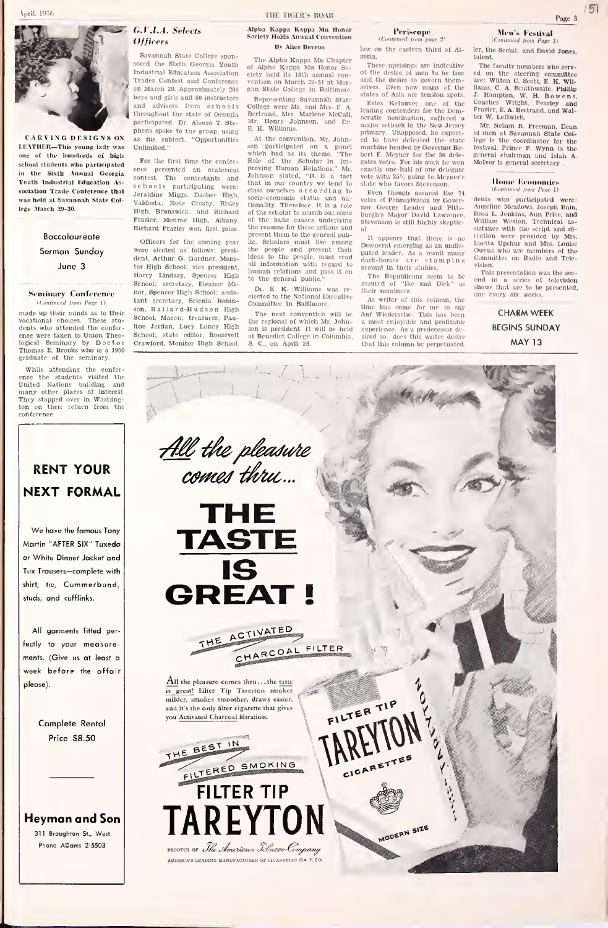

CARVING DESIGNS ON LEATHER—This young lady was one of the hundreds of high school students who participated in the Sixth Annual Georgia Youth Industrial Education Association Trade Conference that was held at Savannah State College March 29-30. Baccalaureate Sermon Sunday June 3 Seminary Conference (Continued from Page 1) made up their minds as to their<br>vocational choices. These stuvocational choices. These stu-<br>Ints who attended the conferG.V.LA. Selects Officers

Savannah State College sponsored the Sixth Georgia Youth Industrial Education Association Trades Contest and Conference on March 29. Approximately 200 gan State College in Baltimore.<br>boys and girls and 50 instructors Representing Savannah State boys and girls and 50 instructors and advisors from schools throughout the state of Georgia<br>participated. Dr. Alonzo T. Steparticipated. Dr. Alonzo T. Ste- <sup>mil.</sup><br>phens spoke to the group, using <sup>E.</sup> as his subject, "Opportunities At the convention, Mr. John Unlimited."

For the first time the confer ence presented an oratorical contest. The contestants and schools participating were: Jeraldine Miggs. Dasher High. Valdosta; Essie Crosby, Risley High, Brunswick; and Richard Frazier, Monroe High, Albany. Richard Frazier won first prize.

dents who attended the confer-<br>made up their minds as to their Sohn, l<br>vocalional choices. These stu-<br>dents who attended the confer-<br>line who attended the confer-<br>Diplogical Seminary by Doctor Crawf<br>Thomas E. Brooks who is were elected as follows: president, Arthur G. Gardner, Moni-<br>tor High School; vice president, all Harry Lindsay, Spencer High to School: secretary. Eleanor Mi-nor, Spencer High School; assis tant secretary, Selenia Robinson, B a<sup>1</sup> <sup>1</sup> a <sup>r</sup>d-H u d <sup>s</sup>o n High School, Macon; treasurer, Pauline Jordan, Lucy Laney High School; state editor, Roosevelt Crawford, Monitor High School.

> <u>All</u> the pleasure comes thru...

> > **THE TASTE**

#### Alpha Kappa Kappa Mu Honor alds Annual Convention By Alice Sevens

The Alpha Kappa Mu Chapter of Alpha Kappa Mu Honor So-ciety held its 18th annual con-vention on March 29-31 at Mor-gan State College in Baltimore

Representing Savannah State<br>College were Mr. and Mrs. E. A. Angles Kefauver, one of the College were Mr. and Mrs. E. A.<br>Bertrand, Mrs. Marlene McCall, Mr.<br>Mr. Henry Johnson, and Dr. Mr. E. K. Williams

officers for the coming year. He problems must live among year of the second to the moon of the propic and present their At the convention, Mr. John-<br>son participated on a panel mac<br>which had as its theme, "The bert<br>Role of the Scholar in Im-<br>proving Human Relations." Mr. exac Johnson stated, "It is a fact vo<br>that in our country we tend to sta class ourselves according to<br>socio-economic status and na-<br>tionality. Therefore, it is a role  $_{\rm no}$ of the scholar to search out som of the scholar to senren out some<br>of the basic causes underlying<br>the reasons for these actions and the reasons for these actions and<br>present them to the general pub-<br>lic. Scholars must live among<br>the people and present their<br>ideas to the people, must read putched<br>and the people, must read dark all information with must read unted leader. As a result<br>all information with regard to dark-horses are sta human relations and pass it on the general public.

> Dr. E. K. Williams was re-  $_{\rm the}$  elected to the National Executive Committee in Baltimore.

The next convention will be the regional of which Mr. John-son is president. It will be held at Benedict College in Columbia, S. C, on April 28. Periscope<br>timed tom now 2)

(Continued from page 2)<br>law on the eastern third of Algeria.

These uprisings are Indicative of the desire of men to be free and the desire to govern then and the trestic to govern them-<br>selves. Even now many of the states of Asia are tension spots.

Estes Kefauver, one of the Dom-<br>leading contenders for the Dem-Fra<br>ocratic nomination, suffered a ter<br>major setback in the New Jersey h primary. Unopposed, he expect- ed to have defeated the state machine headed by Governor Ro-bert E. Meyner for the 36 dele gates votes. For his work he won – Mein<br>exactly one-half of one delegate<br>vote with 35% going to Meyner's state who favors Stevenson.

Even though assured the 74 (Continued from Page 1)<br>htes of Pennsylvania by Gover, dents who participated were: votes of Pennsylvania by Governor George Leader and Pitts- burgh's Mayor David Lawrence, Stevenson is still highly skeptic

It appears that there is it appears that there is no<br>Democral emerging as an undis-<br>puted leader. As a result many ower<br>dark-horses a re s l am p I n g vision<br>around in their stables.

The Republicans seem to be assured of "Ike and Dick" ne their nominees

As writer of this column, the<br>thne has come for me to say time has come for me to say Auf Wledersche, This has been a most enjoyable and profitable experience. As a predecessor desired so - does this writer desire<br>that this column be perpetuated. Men's Festival<br>(Continued from Page 1)

(Continued from Page 1)<br>ler, the Social; and David Jones, talent. The faculty members who serv-

The faculty members who serv-<br>ed on the steering committee<br>are: Wilton C. Scott, E. K. Wil-<br>Ilams, C. A. Braithwaite, Phillip<br>J. Hampton, w. H. Bowens,<br>Coaches Wright, Pearley and<br>Frazier, E. A. Bertrand. and Walter W. Leitwich.

Mr. Nelson R. Freeman. Dean of men at Savannah State College is the coordinator for the<br>festival. Prince F. Wynn is the festival. Prince F. Wynn is the general chairman and Islah A. McIver is general secretary.

#### Home Economic [Continued from Page 1)

dents who participated were:<br>Angeline Mendows, Joseph Bain,<br>Angeline Mendows, Joseph Bain,<br>William Weston, Technical assistance with the script and di-<br>restion were provided by Mrs.<br>Luctua Upshur and Mrs. Louise<br>Owens who rection were provided by Mrs.<br>Luctta Unshur and Mrs. Louise

ond in a series of television<br>shows that are to be presented,<br>one every six weeks.

## BEGINS SUNDAY MAY 13

# ton on their return from the conference.

graduate of the seminary. While attending the confer-<br>ence the students visited the<br>United Nations building and many other places of interest. They stopped over in Washing-



We have the famous Tony Martin "AFTER SIX" Tuxedo or White Dinner Jacket and Tux Trousers—complete with shirt, tie. Cummerbund, studs, and cufflinks.

All garments fitted perfectly to your measurements. (Give us at least a week before the affair please).

> Complete Rental Price \$8.50

Heyman and Son 311 Broughton St., West Phone ADams 2-5503



provinci or The American Tobacco-Company AMERICA'S LEADING MANUFACTURER OF CIGARETTES CA. T.



**AODERN SIZE** 

vision. Tills presentation was the sec-

CHARM WEEK